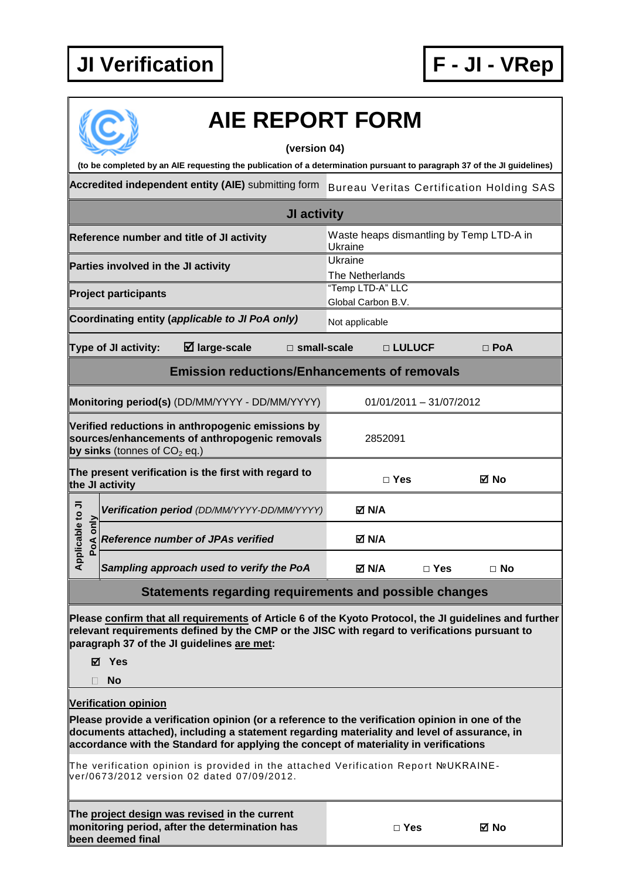

|                                                                                                                                                                                                                                                                |             | <b>AIE REPORT FORM</b>                                                                                                                                                                                                                                                                                                                                                                                                                                     |                                                 |                                                     |                         |            |  |  |
|----------------------------------------------------------------------------------------------------------------------------------------------------------------------------------------------------------------------------------------------------------------|-------------|------------------------------------------------------------------------------------------------------------------------------------------------------------------------------------------------------------------------------------------------------------------------------------------------------------------------------------------------------------------------------------------------------------------------------------------------------------|-------------------------------------------------|-----------------------------------------------------|-------------------------|------------|--|--|
|                                                                                                                                                                                                                                                                |             | (version 04)                                                                                                                                                                                                                                                                                                                                                                                                                                               |                                                 |                                                     |                         |            |  |  |
| (to be completed by an AIE requesting the publication of a determination pursuant to paragraph 37 of the JI guidelines)                                                                                                                                        |             |                                                                                                                                                                                                                                                                                                                                                                                                                                                            |                                                 |                                                     |                         |            |  |  |
|                                                                                                                                                                                                                                                                |             | Accredited independent entity (AIE) submitting form                                                                                                                                                                                                                                                                                                                                                                                                        | <b>Bureau Veritas Certification Holding SAS</b> |                                                     |                         |            |  |  |
|                                                                                                                                                                                                                                                                | JI activity |                                                                                                                                                                                                                                                                                                                                                                                                                                                            |                                                 |                                                     |                         |            |  |  |
| Reference number and title of JI activity                                                                                                                                                                                                                      |             |                                                                                                                                                                                                                                                                                                                                                                                                                                                            |                                                 | Waste heaps dismantling by Temp LTD-A in<br>Ukraine |                         |            |  |  |
| Parties involved in the JI activity                                                                                                                                                                                                                            |             |                                                                                                                                                                                                                                                                                                                                                                                                                                                            |                                                 | Ukraine<br>The Netherlands                          |                         |            |  |  |
| <b>Project participants</b>                                                                                                                                                                                                                                    |             |                                                                                                                                                                                                                                                                                                                                                                                                                                                            |                                                 | "Temp LTD-A" LLC<br>Global Carbon B.V.              |                         |            |  |  |
|                                                                                                                                                                                                                                                                |             | Coordinating entity (applicable to JI PoA only)                                                                                                                                                                                                                                                                                                                                                                                                            | Not applicable                                  |                                                     |                         |            |  |  |
|                                                                                                                                                                                                                                                                |             | $\boxtimes$ large-scale<br>Type of JI activity:<br>$\Box$ small-scale                                                                                                                                                                                                                                                                                                                                                                                      |                                                 | □ LULUCF                                            |                         | $\Box$ PoA |  |  |
|                                                                                                                                                                                                                                                                |             | <b>Emission reductions/Enhancements of removals</b>                                                                                                                                                                                                                                                                                                                                                                                                        |                                                 |                                                     |                         |            |  |  |
|                                                                                                                                                                                                                                                                |             | Monitoring period(s) (DD/MM/YYYY - DD/MM/YYYY)                                                                                                                                                                                                                                                                                                                                                                                                             |                                                 |                                                     | 01/01/2011 - 31/07/2012 |            |  |  |
|                                                                                                                                                                                                                                                                |             | Verified reductions in anthropogenic emissions by<br>sources/enhancements of anthropogenic removals<br>by sinks (tonnes of $CO2$ eq.)                                                                                                                                                                                                                                                                                                                      | 2852091                                         |                                                     |                         |            |  |  |
| The present verification is the first with regard to<br>the JI activity                                                                                                                                                                                        |             |                                                                                                                                                                                                                                                                                                                                                                                                                                                            |                                                 | $\Box$ Yes                                          |                         | ⊠ No       |  |  |
|                                                                                                                                                                                                                                                                |             | Verification period (DD/MM/YYYY-DD/MM/YYYY)                                                                                                                                                                                                                                                                                                                                                                                                                |                                                 | MM N                                                |                         |            |  |  |
| plicable to JI                                                                                                                                                                                                                                                 | PoA only    | <b>Reference number of JPAs verified</b>                                                                                                                                                                                                                                                                                                                                                                                                                   |                                                 | M N/A                                               |                         |            |  |  |
| ᡇ                                                                                                                                                                                                                                                              |             | Sampling approach used to verify the PoA                                                                                                                                                                                                                                                                                                                                                                                                                   |                                                 | M N/A                                               | $\Box$ Yes              | $\Box$ No  |  |  |
|                                                                                                                                                                                                                                                                |             | Statements regarding requirements and possible changes                                                                                                                                                                                                                                                                                                                                                                                                     |                                                 |                                                     |                         |            |  |  |
| Please confirm that all requirements of Article 6 of the Kyoto Protocol, the JI guidelines and further<br>relevant requirements defined by the CMP or the JISC with regard to verifications pursuant to<br>paragraph 37 of the JI guidelines are met:<br>⊠ Yes |             |                                                                                                                                                                                                                                                                                                                                                                                                                                                            |                                                 |                                                     |                         |            |  |  |
|                                                                                                                                                                                                                                                                | H           | <b>No</b>                                                                                                                                                                                                                                                                                                                                                                                                                                                  |                                                 |                                                     |                         |            |  |  |
|                                                                                                                                                                                                                                                                |             | <b>Verification opinion</b><br>Please provide a verification opinion (or a reference to the verification opinion in one of the<br>documents attached), including a statement regarding materiality and level of assurance, in<br>accordance with the Standard for applying the concept of materiality in verifications<br>The verification opinion is provided in the attached Verification Report №UKRAINE-<br>ver/0673/2012 version 02 dated 07/09/2012. |                                                 |                                                     |                         |            |  |  |
|                                                                                                                                                                                                                                                                |             |                                                                                                                                                                                                                                                                                                                                                                                                                                                            |                                                 |                                                     |                         |            |  |  |

**The project design was revised in the current monitoring period, after the determination has been deemed final**

**□ Yes No**